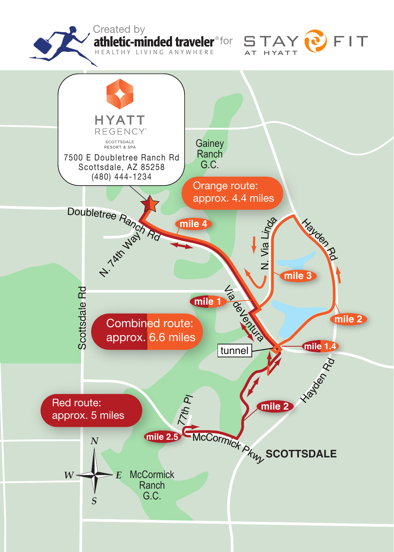Created by